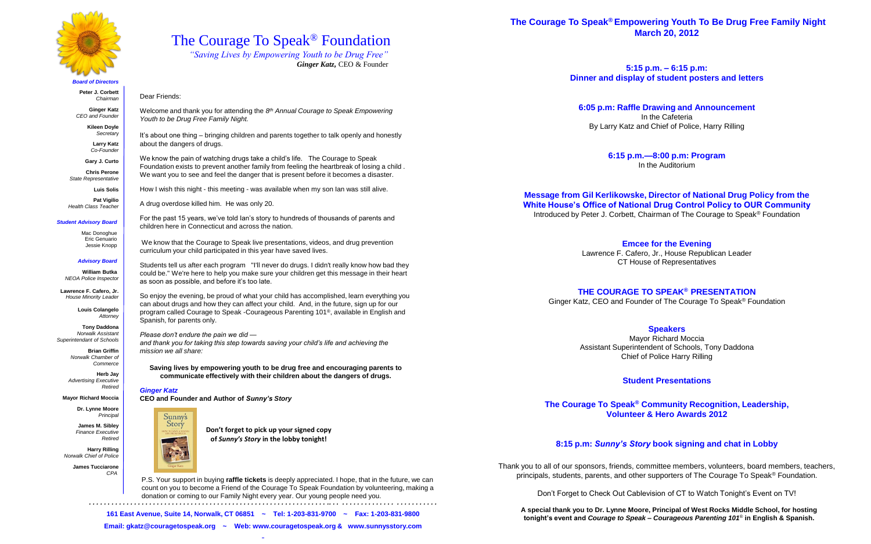### **The Courage To Speak® Empowering Youth To Be Drug Free Family Night March 20, 2012**

**5:15 p.m. – 6:15 p.m: Dinner and display of student posters and letters**

**6:05 p.m: Raffle Drawing and Announcement**  In the Cafeteria By Larry Katz and Chief of Police, Harry Rilling

> **6:15 p.m.—8:00 p.m: Program** In the Auditorium

### **Message from Gil Kerlikowske, Director of National Drug Policy from the White House's Office of National Drug Control Policy to OUR Community** Introduced by Peter J. Corbett, Chairman of The Courage to Speak ® Foundation

**Emcee for the Evening** Lawrence F. Cafero, Jr., House Republican Leader CT House of Representatives

### **THE COURAGE TO SPEAK® PRESENTATION**

Ginger Katz, CEO and Founder of The Courage To Speak® Foundation

### **Speakers**

Mayor Richard Moccia Assistant Superintendent of Schools, Tony Daddona Chief of Police Harry Rilling

### **Student Presentations**

**The Courage To Speak® Community Recognition, Leadership, Volunteer & Hero Awards 2012**

### **8:15 p.m:** *Sunny's Story* **book signing and chat in Lobby**

Thank you to all of our sponsors, friends, committee members, volunteers, board members, teachers, principals, students, parents, and other supporters of The Courage To Speak ® Foundation.

Don't Forget to Check Out Cablevision of CT to Watch Tonight's Event on TV!

*. . . . . . . . . . . . . . . . . . . . . . . . . . . . . . . . . . . . . . . . . . . . . . . . . . . . . . . . . . . . . . . .. . . . . . . . . . . . . . . . . . . . . . . . . . . .*

**161 East Avenue, Suite 14, Norwalk, CT 06851 ~ Tel: 1-203-831-9700 ~ Fax: 1-203-831-9800 Email: gkatz@couragetospeak.org ~ Web: www.couragetospeak.org & www.sunnysstory.com**

The Courage To Speak® Foundation

*"Saving Lives by Empowering Youth to be Drug Free"*

*Ginger Katz,* CEO & Founder

# Dear Friends:

Welcome and thank you for attending the *8 th Annual Courage to Speak Empowering Youth to be Drug Free Family Night.*

It's about one thing – bringing children and parents together to talk openly and honestly about the dangers of drugs.

We know the pain of watching drugs take a child's life. The Courage to Speak Foundation exists to prevent another family from feeling the heartbreak of losing a child . We want you to see and feel the danger that is present before it becomes a disaster.

How I wish this night - this meeting - was available when my son Ian was still alive.

A drug overdose killed him. He was only 20.

For the past 15 years, we've told Ian's story to hundreds of thousands of parents and children here in Connecticut and across the nation.

We know that the Courage to Speak live presentations, videos, and drug prevention curriculum your child participated in this year have saved lives.

Students tell us after each program "I'll never do drugs. I didn't really know how bad they could be." We're here to help you make sure your children get this message in their heart as soon as possible, and before it's too late.

So enjoy the evening, be proud of what your child has accomplished, learn everything you can about drugs and how they can affect your child. And, in the future, sign up for our program called Courage to Speak -Courageous Parenting 101®, available in English and Spanish, for parents only.

### *Please don't endure the pain we did —*

*and thank you for taking this step towards saving your child's life and achieving the mission we all share:*

**Saving lives by empowering youth to be drug free and encouraging parents to communicate effectively with their children about the dangers of drugs.** 

### *Ginger Katz*

**CEO and Founder and Author of** *Sunny's Story* 





*Board of Directors*

**Peter J. Corbett** *Chairman*

**Ginger Katz** *CEO and Founder*

> **Kileen Doyle** *Secretar*y

> > **Larry Katz** *Co-Founder*

**Gary J. Curto Chris Perone**

*State Representative*

**Luis Solis**

**Pat Vigilio** *Health Class Teacher*

### *Student Advisory Board*

Mac Donoghue Eric Genuario Jessie Knopp

### *Advisory Board*

**William Butka**  *NEOA Police Inspector*

**Lawrence F. Cafero, Jr.** *House Minority Leader*

> **Louis Colangelo** *Attorney*

**Tony Daddona** *Norwalk Assistant Superintendant of Schools*

> **Brian Griffin** *Norwalk Chamber of Commerce*

**Herb Jay** *Advertising Executive Retired*

### **Mayor Richard Moccia**

**Dr. Lynne Moore** *Principal*

**James M. Sibley** *Finance Executive Retired*

**Harry Rilling** *Norwalk Chief of Police*

> **James Tucciarone** *CPA*



P.S. Your support in buying **raffle tickets** is deeply appreciated. I hope, that in the future, we can count on you to become a Friend of the Courage To Speak Foundation by volunteering, making a

donation or coming to our Family Night every year. Our young people need you.

**Don't forget to pick up your signed copy of** *Sunny's Story* **in the lobby tonight!**

> **A special thank you to Dr. Lynne Moore, Principal of West Rocks Middle School, for hosting tonight's event and** *Courage to Speak – Courageous Parenting 101*® **in English & Spanish.**